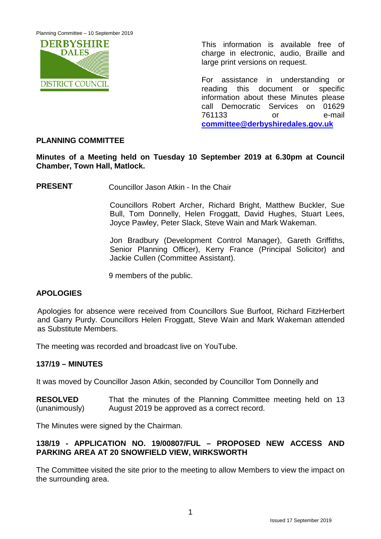Planning Committee – 10 September 2019



This information is available free of charge in electronic, audio, Braille and large print versions on request.

For assistance in understanding or reading this document or specific information about these Minutes please call Democratic Services on 01629 761133 or e-mail **[committee@derbyshiredales.gov.uk](mailto:committee@derbyshiredales.gov.uk)**

# **PLANNING COMMITTEE**

**Minutes of a Meeting held on Tuesday 10 September 2019 at 6.30pm at Council Chamber, Town Hall, Matlock.**

**PRESENT** Councillor Jason Atkin - In the Chair

Councillors Robert Archer, Richard Bright, Matthew Buckler, Sue Bull, Tom Donnelly, Helen Froggatt, David Hughes, Stuart Lees, Joyce Pawley, Peter Slack, Steve Wain and Mark Wakeman.

Jon Bradbury (Development Control Manager), Gareth Griffiths, Senior Planning Officer), Kerry France (Principal Solicitor) and Jackie Cullen (Committee Assistant).

9 members of the public.

### **APOLOGIES**

Apologies for absence were received from Councillors Sue Burfoot, Richard FitzHerbert and Garry Purdy. Councillors Helen Froggatt, Steve Wain and Mark Wakeman attended as Substitute Members.

The meeting was recorded and broadcast live on YouTube.

### **137/19 – MINUTES**

It was moved by Councillor Jason Atkin, seconded by Councillor Tom Donnelly and

**RESOLVED** (unanimously) That the minutes of the Planning Committee meeting held on 13 August 2019 be approved as a correct record.

The Minutes were signed by the Chairman.

### **138/19 - APPLICATION NO. 19/00807/FUL – PROPOSED NEW ACCESS AND PARKING AREA AT 20 SNOWFIELD VIEW, WIRKSWORTH**

The Committee visited the site prior to the meeting to allow Members to view the impact on the surrounding area.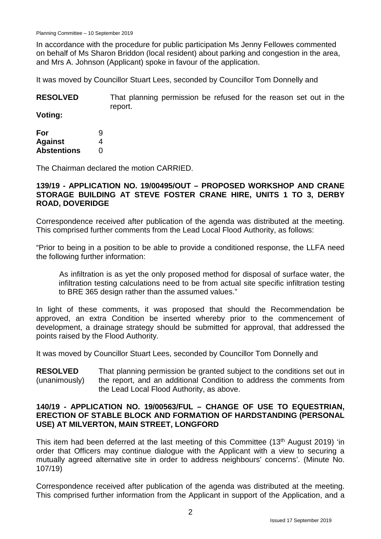In accordance with the procedure for public participation Ms Jenny Fellowes commented on behalf of Ms Sharon Briddon (local resident) about parking and congestion in the area, and Mrs A. Johnson (Applicant) spoke in favour of the application.

It was moved by Councillor Stuart Lees, seconded by Councillor Tom Donnelly and

| <b>RESOLVED</b> | That planning permission be refused for the reason set out in the |
|-----------------|-------------------------------------------------------------------|
|                 | report.                                                           |

**Voting:**

| For                | 9 |
|--------------------|---|
| <b>Against</b>     | 4 |
| <b>Abstentions</b> | 0 |

The Chairman declared the motion CARRIED.

#### **139/19 - APPLICATION NO. 19/00495/OUT – PROPOSED WORKSHOP AND CRANE STORAGE BUILDING AT STEVE FOSTER CRANE HIRE, UNITS 1 TO 3, DERBY ROAD, DOVERIDGE**

Correspondence received after publication of the agenda was distributed at the meeting. This comprised further comments from the Lead Local Flood Authority, as follows:

"Prior to being in a position to be able to provide a conditioned response, the LLFA need the following further information:

As infiltration is as yet the only proposed method for disposal of surface water, the infiltration testing calculations need to be from actual site specific infiltration testing to BRE 365 design rather than the assumed values."

In light of these comments, it was proposed that should the Recommendation be approved, an extra Condition be inserted whereby prior to the commencement of development, a drainage strategy should be submitted for approval, that addressed the points raised by the Flood Authority.

It was moved by Councillor Stuart Lees, seconded by Councillor Tom Donnelly and

**RESOLVED** (unanimously) That planning permission be granted subject to the conditions set out in the report, and an additional Condition to address the comments from the Lead Local Flood Authority, as above.

#### **140/19 - APPLICATION NO. 19/00563/FUL – CHANGE OF USE TO EQUESTRIAN, ERECTION OF STABLE BLOCK AND FORMATION OF HARDSTANDING (PERSONAL USE) AT MILVERTON, MAIN STREET, LONGFORD**

This item had been deferred at the last meeting of this Committee (13th August 2019) 'in order that Officers may continue dialogue with the Applicant with a view to securing a mutually agreed alternative site in order to address neighbours' concerns'. (Minute No. 107/19)

Correspondence received after publication of the agenda was distributed at the meeting. This comprised further information from the Applicant in support of the Application, and a